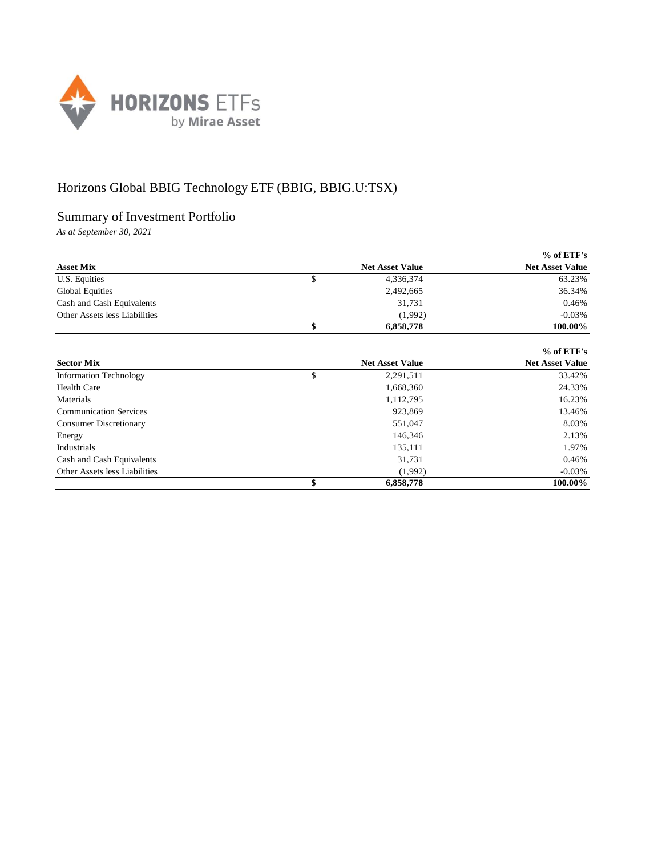

## Horizons Global BBIG Technology ETF (BBIG, BBIG.U:TSX)

## Summary of Investment Portfolio

*As at September 30, 2021*

|                               |                        | $%$ of ETF's           |
|-------------------------------|------------------------|------------------------|
| <b>Asset Mix</b>              | <b>Net Asset Value</b> | <b>Net Asset Value</b> |
| U.S. Equities                 | \$<br>4,336,374        | 63.23%                 |
| <b>Global Equities</b>        | 2,492,665              | 36.34%                 |
| Cash and Cash Equivalents     | 31,731                 | 0.46%                  |
| Other Assets less Liabilities | (1.992)                | $-0.03\%$              |
|                               | 6,858,778              | 100.00%                |

|                               |                        | $%$ of ETF's           |
|-------------------------------|------------------------|------------------------|
| <b>Sector Mix</b>             | <b>Net Asset Value</b> | <b>Net Asset Value</b> |
| <b>Information Technology</b> | \$<br>2,291,511        | 33.42%                 |
| <b>Health Care</b>            | 1,668,360              | 24.33%                 |
| Materials                     | 1,112,795              | 16.23%                 |
| <b>Communication Services</b> | 923,869                | 13.46%                 |
| <b>Consumer Discretionary</b> | 551,047                | 8.03%                  |
| Energy                        | 146,346                | 2.13%                  |
| Industrials                   | 135,111                | 1.97%                  |
| Cash and Cash Equivalents     | 31,731                 | 0.46%                  |
| Other Assets less Liabilities | (1,992)                | $-0.03\%$              |
|                               | 6,858,778              | 100.00%                |